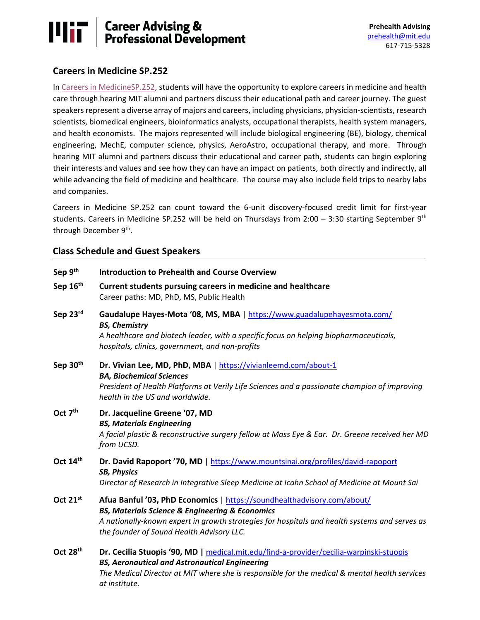# **Mir Career Advising &<br>Professional Development**

### **Careers in Medicine SP.252**

In [Careers in MedicineSP.252,](http://student.mit.edu/catalog/mSPa.html#:%7E:text=SP.252%20Careers%20in%20Medicine&text=Allows%20students%20to%20explore%20how,to%20nearby%20labs%20and%20companies.) students will have the opportunity to explore careers in medicine and health care through hearing MIT alumni and partners discuss their educational path and career journey. The guest speakers represent a diverse array of majors and careers, including physicians, physician-scientists, research scientists, biomedical engineers, bioinformatics analysts, occupational therapists, health system managers, and health economists. The majors represented will include biological engineering (BE), biology, chemical engineering, MechE, computer science, physics, AeroAstro, occupational therapy, and more. Through hearing MIT alumni and partners discuss their educational and career path, students can begin exploring their interests and values and see how they can have an impact on patients, both directly and indirectly, all while advancing the field of medicine and healthcare. The course may also include field trips to nearby labs and companies.

Careers in Medicine SP.252 can count toward the 6-unit discovery-focused credit limit for first-year students. Careers in Medicine SP.252 will be held on Thursdays from 2:00 - 3:30 starting September  $9<sup>th</sup>$ through December 9<sup>th</sup>.

### **Class Schedule and Guest Speakers**

| Sep 9th              | <b>Introduction to Prehealth and Course Overview</b>                                                                                                                                                                                                                                    |
|----------------------|-----------------------------------------------------------------------------------------------------------------------------------------------------------------------------------------------------------------------------------------------------------------------------------------|
| Sep 16th             | Current students pursuing careers in medicine and healthcare<br>Career paths: MD, PhD, MS, Public Health                                                                                                                                                                                |
| Sep 23rd             | Gaudalupe Hayes-Mota '08, MS, MBA   https://www.guadalupehayesmota.com/<br><b>BS, Chemistry</b><br>A healthcare and biotech leader, with a specific focus on helping biopharmaceuticals,<br>hospitals, clinics, government, and non-profits                                             |
| Sep 30 <sup>th</sup> | Dr. Vivian Lee, MD, PhD, MBA   https://vivianleemd.com/about-1<br><b>BA, Biochemical Sciences</b><br>President of Health Platforms at Verily Life Sciences and a passionate champion of improving<br>health in the US and worldwide.                                                    |
| Oct 7 <sup>th</sup>  | Dr. Jacqueline Greene '07, MD<br><b>BS, Materials Engineering</b><br>A facial plastic & reconstructive surgery fellow at Mass Eye & Ear. Dr. Greene received her MD<br>from UCSD.                                                                                                       |
| Oct 14th             | Dr. David Rapoport '70, MD   https://www.mountsinai.org/profiles/david-rapoport<br><b>SB, Physics</b><br>Director of Research in Integrative Sleep Medicine at Icahn School of Medicine at Mount Sai                                                                                    |
| Oct 21st             | Afua Banful '03, PhD Economics   https://soundhealthadvisory.com/about/<br><b>BS, Materials Science &amp; Engineering &amp; Economics</b><br>A nationally-known expert in growth strategies for hospitals and health systems and serves as<br>the founder of Sound Health Advisory LLC. |
| Oct 28 <sup>th</sup> | Dr. Cecilia Stuopis '90, MD   medical.mit.edu/find-a-provider/cecilia-warpinski-stuopis<br><b>BS, Aeronautical and Astronautical Engineering</b><br>The Medical Director at MIT where she is responsible for the medical & mental health services<br>at institute.                      |